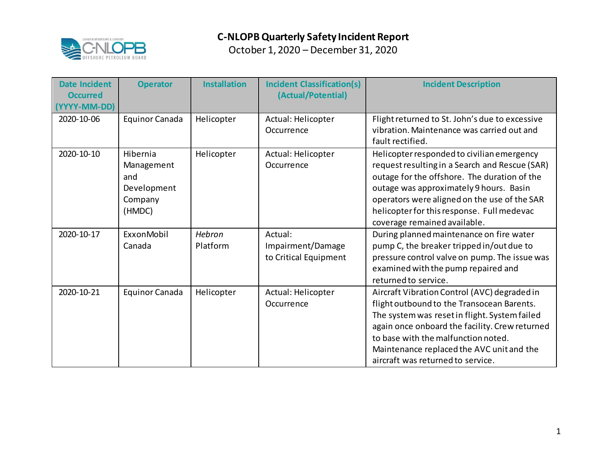

| <b>Date Incident</b><br><b>Occurred</b><br>(YYYY-MM-DD) | <b>Operator</b>                                                   | <b>Installation</b> | <b>Incident Classification(s)</b><br>(Actual/Potential) | <b>Incident Description</b>                                                                                                                                                                                                                                                                                            |
|---------------------------------------------------------|-------------------------------------------------------------------|---------------------|---------------------------------------------------------|------------------------------------------------------------------------------------------------------------------------------------------------------------------------------------------------------------------------------------------------------------------------------------------------------------------------|
| 2020-10-06                                              | <b>Equinor Canada</b>                                             | Helicopter          | Actual: Helicopter<br>Occurrence                        | Flight returned to St. John's due to excessive<br>vibration. Maintenance was carried out and<br>fault rectified.                                                                                                                                                                                                       |
| 2020-10-10                                              | Hibernia<br>Management<br>and<br>Development<br>Company<br>(HMDC) | Helicopter          | Actual: Helicopter<br>Occurrence                        | Helicopter responded to civilian emergency<br>request resulting in a Search and Rescue (SAR)<br>outage for the offshore. The duration of the<br>outage was approximately 9 hours. Basin<br>operators were aligned on the use of the SAR<br>helicopter for this response. Full medevac<br>coverage remained available.  |
| 2020-10-17                                              | ExxonMobil<br>Canada                                              | Hebron<br>Platform  | Actual:<br>Impairment/Damage<br>to Critical Equipment   | During planned maintenance on fire water<br>pump C, the breaker tripped in/out due to<br>pressure control valve on pump. The issue was<br>examined with the pump repaired and<br>returned to service.                                                                                                                  |
| 2020-10-21                                              | <b>Equinor Canada</b>                                             | Helicopter          | Actual: Helicopter<br>Occurrence                        | Aircraft Vibration Control (AVC) degraded in<br>flight outbound to the Transocean Barents.<br>The system was reset in flight. System failed<br>again once onboard the facility. Crew returned<br>to base with the malfunction noted.<br>Maintenance replaced the AVC unit and the<br>aircraft was returned to service. |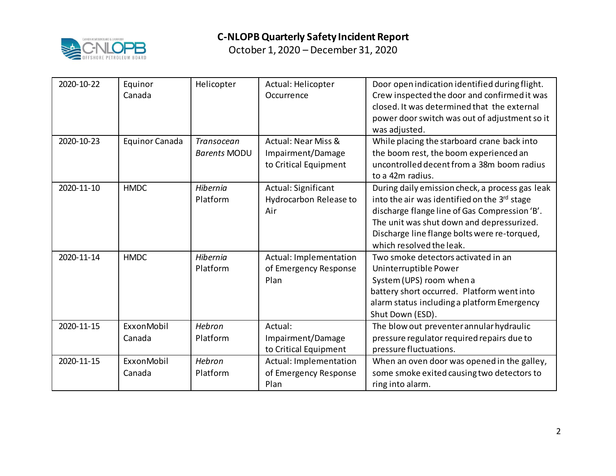

| 2020-10-22 | Equinor<br>Canada     | Helicopter                        | Actual: Helicopter<br>Occurrence                                             | Door open indication identified during flight.<br>Crew inspected the door and confirmed it was<br>closed. It was determined that the external<br>power door switch was out of adjustment so it<br>was adjusted.                                                           |
|------------|-----------------------|-----------------------------------|------------------------------------------------------------------------------|---------------------------------------------------------------------------------------------------------------------------------------------------------------------------------------------------------------------------------------------------------------------------|
| 2020-10-23 | <b>Equinor Canada</b> | Transocean<br><b>Barents MODU</b> | <b>Actual: Near Miss &amp;</b><br>Impairment/Damage<br>to Critical Equipment | While placing the starboard crane back into<br>the boom rest, the boom experienced an<br>uncontrolled decent from a 38m boom radius<br>to a 42m radius.                                                                                                                   |
| 2020-11-10 | <b>HMDC</b>           | <b>Hibernia</b><br>Platform       | Actual: Significant<br>Hydrocarbon Release to<br>Air                         | During daily emission check, a process gas leak<br>into the air was identified on the 3rd stage<br>discharge flange line of Gas Compression 'B'.<br>The unit was shut down and depressurized.<br>Discharge line flange bolts were re-torqued,<br>which resolved the leak. |
| 2020-11-14 | <b>HMDC</b>           | <b>Hibernia</b><br>Platform       | Actual: Implementation<br>of Emergency Response<br>Plan                      | Two smoke detectors activated in an<br>Uninterruptible Power<br>System (UPS) room when a<br>battery short occurred. Platform went into<br>alarm status including a platform Emergency<br>Shut Down (ESD).                                                                 |
| 2020-11-15 | ExxonMobil<br>Canada  | Hebron<br>Platform                | Actual:<br>Impairment/Damage<br>to Critical Equipment                        | The blow out preventer annular hydraulic<br>pressure regulator required repairs due to<br>pressure fluctuations.                                                                                                                                                          |
| 2020-11-15 | ExxonMobil<br>Canada  | Hebron<br>Platform                | Actual: Implementation<br>of Emergency Response<br>Plan                      | When an oven door was opened in the galley,<br>some smoke exited causing two detectors to<br>ring into alarm.                                                                                                                                                             |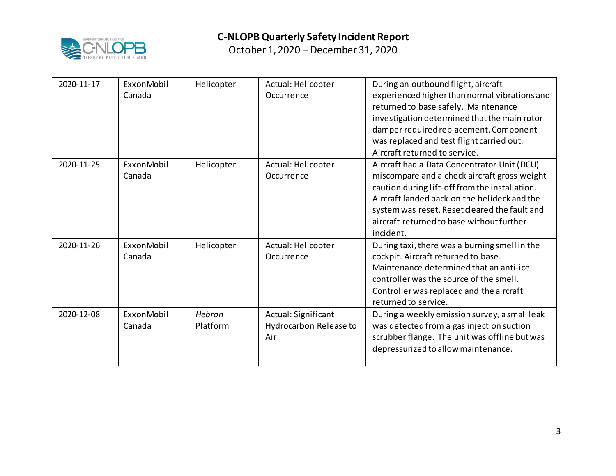

| 2020-11-17 | ExxonMobil<br>Canada | Helicopter         | Actual: Helicopter<br>Occurrence                     | During an outbound flight, aircraft<br>experienced higher than normal vibrations and<br>returned to base safely. Maintenance<br>investigation determined that the main rotor<br>damper required replacement. Component<br>was replaced and test flight carried out.<br>Aircraft returned to service.     |
|------------|----------------------|--------------------|------------------------------------------------------|----------------------------------------------------------------------------------------------------------------------------------------------------------------------------------------------------------------------------------------------------------------------------------------------------------|
| 2020-11-25 | ExxonMobil<br>Canada | Helicopter         | Actual: Helicopter<br>Occurrence                     | Aircraft had a Data Concentrator Unit (DCU)<br>miscompare and a check aircraft gross weight<br>caution during lift-off from the installation.<br>Aircraft landed back on the helideck and the<br>system was reset. Reset cleared the fault and<br>aircraft returned to base without further<br>incident. |
| 2020-11-26 | ExxonMobil<br>Canada | Helicopter         | Actual: Helicopter<br>Occurrence                     | During taxi, there was a burning smell in the<br>cockpit. Aircraft returned to base.<br>Maintenance determined that an anti-ice<br>controller was the source of the smell.<br>Controller was replaced and the aircraft<br>returned to service.                                                           |
| 2020-12-08 | ExxonMobil<br>Canada | Hebron<br>Platform | Actual: Significant<br>Hydrocarbon Release to<br>Air | During a weekly emission survey, a small leak<br>was detected from a gas injection suction<br>scrubber flange. The unit was offline but was<br>depressurized to allow maintenance.                                                                                                                       |